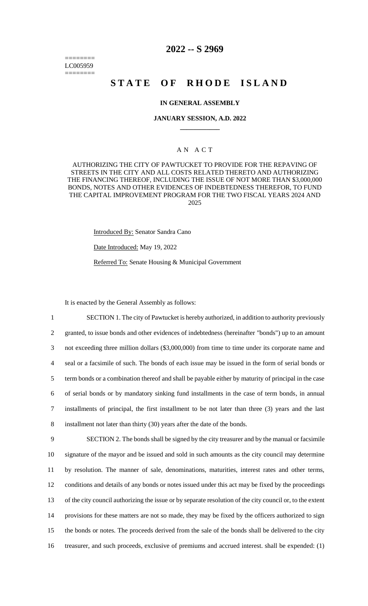======== LC005959 ========

## **2022 -- S 2969**

# **STATE OF RHODE ISLAND**

## **IN GENERAL ASSEMBLY**

## **JANUARY SESSION, A.D. 2022 \_\_\_\_\_\_\_\_\_\_\_\_**

## A N A C T

AUTHORIZING THE CITY OF PAWTUCKET TO PROVIDE FOR THE REPAVING OF STREETS IN THE CITY AND ALL COSTS RELATED THERETO AND AUTHORIZING THE FINANCING THEREOF, INCLUDING THE ISSUE OF NOT MORE THAN \$3,000,000 BONDS, NOTES AND OTHER EVIDENCES OF INDEBTEDNESS THEREFOR, TO FUND THE CAPITAL IMPROVEMENT PROGRAM FOR THE TWO FISCAL YEARS 2024 AND 2025

Introduced By: Senator Sandra Cano

Date Introduced: May 19, 2022

Referred To: Senate Housing & Municipal Government

It is enacted by the General Assembly as follows:

 SECTION 1. The city of Pawtucket is hereby authorized, in addition to authority previously granted, to issue bonds and other evidences of indebtedness (hereinafter "bonds") up to an amount not exceeding three million dollars (\$3,000,000) from time to time under its corporate name and seal or a facsimile of such. The bonds of each issue may be issued in the form of serial bonds or term bonds or a combination thereof and shall be payable either by maturity of principal in the case of serial bonds or by mandatory sinking fund installments in the case of term bonds, in annual installments of principal, the first installment to be not later than three (3) years and the last installment not later than thirty (30) years after the date of the bonds. SECTION 2. The bonds shall be signed by the city treasurer and by the manual or facsimile signature of the mayor and be issued and sold in such amounts as the city council may determine by resolution. The manner of sale, denominations, maturities, interest rates and other terms, conditions and details of any bonds or notes issued under this act may be fixed by the proceedings of the city council authorizing the issue or by separate resolution of the city council or, to the extent

14 provisions for these matters are not so made, they may be fixed by the officers authorized to sign

15 the bonds or notes. The proceeds derived from the sale of the bonds shall be delivered to the city

16 treasurer, and such proceeds, exclusive of premiums and accrued interest. shall be expended: (1)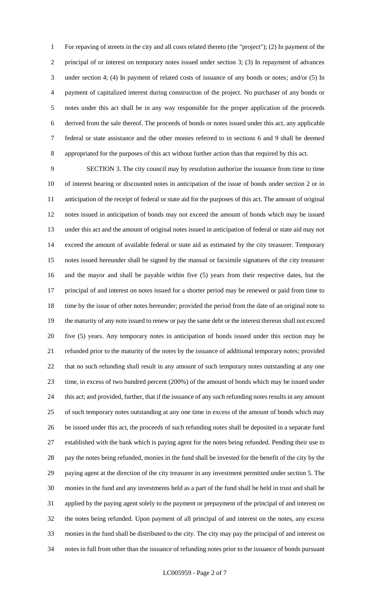For repaving of streets in the city and all costs related thereto (the "project"); (2) In payment of the 2 principal of or interest on temporary notes issued under section 3; (3) In repayment of advances under section 4; (4) In payment of related costs of issuance of any bonds or notes; and/or (5) In payment of capitalized interest during construction of the project. No purchaser of any bonds or notes under this act shall be in any way responsible for the proper application of the proceeds derived from the sale thereof. The proceeds of bonds or notes issued under this act, any applicable federal or state assistance and the other monies referred to in sections 6 and 9 shall be deemed appropriated for the purposes of this act without further action than that required by this act.

 SECTION 3. The city council may by resolution authorize the issuance from time to time of interest bearing or discounted notes in anticipation of the issue of bonds under section 2 or in anticipation of the receipt of federal or state aid for the purposes of this act. The amount of original notes issued in anticipation of bonds may not exceed the amount of bonds which may be issued under this act and the amount of original notes issued in anticipation of federal or state aid may not exceed the amount of available federal or state aid as estimated by the city treasurer. Temporary notes issued hereunder shall be signed by the manual or facsimile signatures of the city treasurer and the mayor and shall be payable within five (5) years from their respective dates, but the principal of and interest on notes issued for a shorter period may be renewed or paid from time to time by the issue of other notes hereunder; provided the period from the date of an original note to the maturity of any note issued to renew or pay the same debt or the interest thereon shall not exceed five (5) years. Any temporary notes in anticipation of bonds issued under this section may be refunded prior to the maturity of the notes by the issuance of additional temporary notes; provided that no such refunding shall result in any amount of such temporary notes outstanding at any one time, in excess of two hundred percent (200%) of the amount of bonds which may be issued under this act; and provided, further, that if the issuance of any such refunding notes results in any amount of such temporary notes outstanding at any one time in excess of the amount of bonds which may be issued under this act, the proceeds of such refunding notes shall be deposited in a separate fund established with the bank which is paying agent for the notes being refunded. Pending their use to pay the notes being refunded, monies in the fund shall be invested for the benefit of the city by the paying agent at the direction of the city treasurer in any investment permitted under section 5. The monies in the fund and any investments held as a part of the fund shall be held in trust and shall be applied by the paying agent solely to the payment or prepayment of the principal of and interest on the notes being refunded. Upon payment of all principal of and interest on the notes, any excess monies in the fund shall be distributed to the city. The city may pay the principal of and interest on notes in full from other than the issuance of refunding notes prior to the issuance of bonds pursuant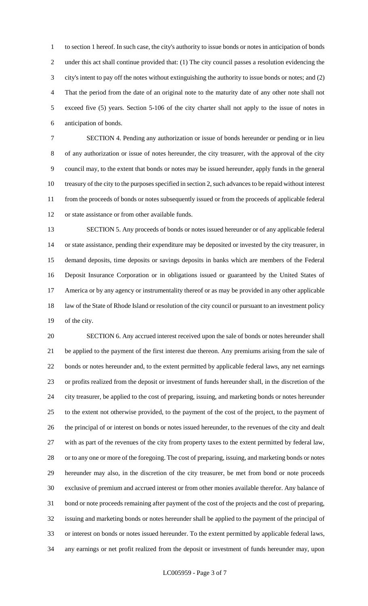to section 1 hereof. In such case, the city's authority to issue bonds or notes in anticipation of bonds under this act shall continue provided that: (1) The city council passes a resolution evidencing the city's intent to pay off the notes without extinguishing the authority to issue bonds or notes; and (2) That the period from the date of an original note to the maturity date of any other note shall not exceed five (5) years. Section 5-106 of the city charter shall not apply to the issue of notes in anticipation of bonds.

 SECTION 4. Pending any authorization or issue of bonds hereunder or pending or in lieu of any authorization or issue of notes hereunder, the city treasurer, with the approval of the city council may, to the extent that bonds or notes may be issued hereunder, apply funds in the general treasury of the city to the purposes specified in section 2, such advances to be repaid without interest from the proceeds of bonds or notes subsequently issued or from the proceeds of applicable federal or state assistance or from other available funds.

 SECTION 5. Any proceeds of bonds or notes issued hereunder or of any applicable federal or state assistance, pending their expenditure may be deposited or invested by the city treasurer, in demand deposits, time deposits or savings deposits in banks which are members of the Federal Deposit Insurance Corporation or in obligations issued or guaranteed by the United States of America or by any agency or instrumentality thereof or as may be provided in any other applicable 18 law of the State of Rhode Island or resolution of the city council or pursuant to an investment policy of the city.

 SECTION 6. Any accrued interest received upon the sale of bonds or notes hereunder shall be applied to the payment of the first interest due thereon. Any premiums arising from the sale of bonds or notes hereunder and, to the extent permitted by applicable federal laws, any net earnings or profits realized from the deposit or investment of funds hereunder shall, in the discretion of the city treasurer, be applied to the cost of preparing, issuing, and marketing bonds or notes hereunder to the extent not otherwise provided, to the payment of the cost of the project, to the payment of the principal of or interest on bonds or notes issued hereunder, to the revenues of the city and dealt with as part of the revenues of the city from property taxes to the extent permitted by federal law, or to any one or more of the foregoing. The cost of preparing, issuing, and marketing bonds or notes hereunder may also, in the discretion of the city treasurer, be met from bond or note proceeds exclusive of premium and accrued interest or from other monies available therefor. Any balance of bond or note proceeds remaining after payment of the cost of the projects and the cost of preparing, issuing and marketing bonds or notes hereunder shall be applied to the payment of the principal of or interest on bonds or notes issued hereunder. To the extent permitted by applicable federal laws, any earnings or net profit realized from the deposit or investment of funds hereunder may, upon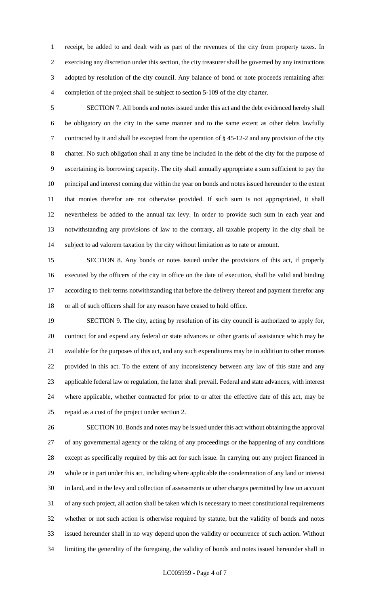receipt, be added to and dealt with as part of the revenues of the city from property taxes. In exercising any discretion under this section, the city treasurer shall be governed by any instructions adopted by resolution of the city council. Any balance of bond or note proceeds remaining after completion of the project shall be subject to section 5-109 of the city charter.

 SECTION 7. All bonds and notes issued under this act and the debt evidenced hereby shall be obligatory on the city in the same manner and to the same extent as other debts lawfully contracted by it and shall be excepted from the operation of § 45-12-2 and any provision of the city charter. No such obligation shall at any time be included in the debt of the city for the purpose of ascertaining its borrowing capacity. The city shall annually appropriate a sum sufficient to pay the principal and interest coming due within the year on bonds and notes issued hereunder to the extent that monies therefor are not otherwise provided. If such sum is not appropriated, it shall nevertheless be added to the annual tax levy. In order to provide such sum in each year and notwithstanding any provisions of law to the contrary, all taxable property in the city shall be subject to ad valorem taxation by the city without limitation as to rate or amount.

 SECTION 8. Any bonds or notes issued under the provisions of this act, if properly executed by the officers of the city in office on the date of execution, shall be valid and binding according to their terms notwithstanding that before the delivery thereof and payment therefor any or all of such officers shall for any reason have ceased to hold office.

 SECTION 9. The city, acting by resolution of its city council is authorized to apply for, contract for and expend any federal or state advances or other grants of assistance which may be available for the purposes of this act, and any such expenditures may be in addition to other monies provided in this act. To the extent of any inconsistency between any law of this state and any applicable federal law or regulation, the latter shall prevail. Federal and state advances, with interest where applicable, whether contracted for prior to or after the effective date of this act, may be repaid as a cost of the project under section 2.

 SECTION 10. Bonds and notes may be issued under this act without obtaining the approval of any governmental agency or the taking of any proceedings or the happening of any conditions except as specifically required by this act for such issue. In carrying out any project financed in whole or in part under this act, including where applicable the condemnation of any land or interest in land, and in the levy and collection of assessments or other charges permitted by law on account of any such project, all action shall be taken which is necessary to meet constitutional requirements whether or not such action is otherwise required by statute, but the validity of bonds and notes issued hereunder shall in no way depend upon the validity or occurrence of such action. Without limiting the generality of the foregoing, the validity of bonds and notes issued hereunder shall in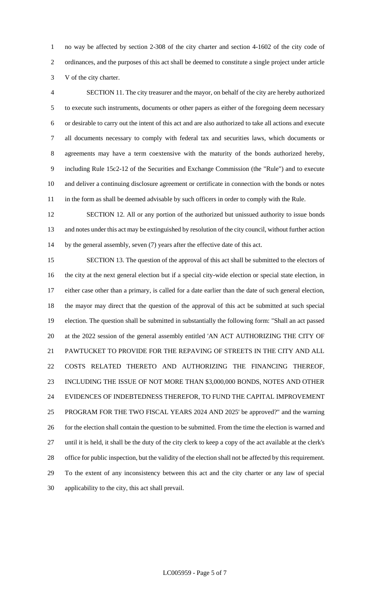no way be affected by section 2-308 of the city charter and section 4-1602 of the city code of ordinances, and the purposes of this act shall be deemed to constitute a single project under article V of the city charter.

 SECTION 11. The city treasurer and the mayor, on behalf of the city are hereby authorized to execute such instruments, documents or other papers as either of the foregoing deem necessary or desirable to carry out the intent of this act and are also authorized to take all actions and execute all documents necessary to comply with federal tax and securities laws, which documents or agreements may have a term coextensive with the maturity of the bonds authorized hereby, including Rule 15c2-12 of the Securities and Exchange Commission (the "Rule") and to execute and deliver a continuing disclosure agreement or certificate in connection with the bonds or notes 11 in the form as shall be deemed advisable by such officers in order to comply with the Rule.

 SECTION 12. All or any portion of the authorized but unissued authority to issue bonds and notes under this act may be extinguished by resolution of the city council, without further action by the general assembly, seven (7) years after the effective date of this act.

 SECTION 13. The question of the approval of this act shall be submitted to the electors of the city at the next general election but if a special city-wide election or special state election, in either case other than a primary, is called for a date earlier than the date of such general election, the mayor may direct that the question of the approval of this act be submitted at such special election. The question shall be submitted in substantially the following form: "Shall an act passed at the 2022 session of the general assembly entitled 'AN ACT AUTHORIZING THE CITY OF PAWTUCKET TO PROVIDE FOR THE REPAVING OF STREETS IN THE CITY AND ALL COSTS RELATED THERETO AND AUTHORIZING THE FINANCING THEREOF, INCLUDING THE ISSUE OF NOT MORE THAN \$3,000,000 BONDS, NOTES AND OTHER EVIDENCES OF INDEBTEDNESS THEREFOR, TO FUND THE CAPITAL IMPROVEMENT PROGRAM FOR THE TWO FISCAL YEARS 2024 AND 2025' be approved?" and the warning 26 for the election shall contain the question to be submitted. From the time the election is warned and until it is held, it shall be the duty of the city clerk to keep a copy of the act available at the clerk's office for public inspection, but the validity of the election shall not be affected by this requirement. To the extent of any inconsistency between this act and the city charter or any law of special applicability to the city, this act shall prevail.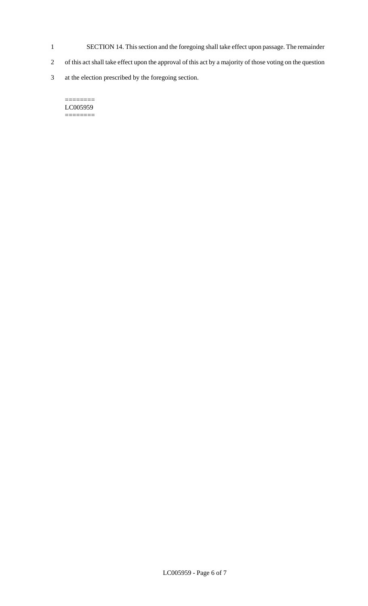- 1 SECTION 14. This section and the foregoing shall take effect upon passage. The remainder
- 2 of this act shall take effect upon the approval of this act by a majority of those voting on the question
- 3 at the election prescribed by the foregoing section.

#### $=$ LC005959 ========